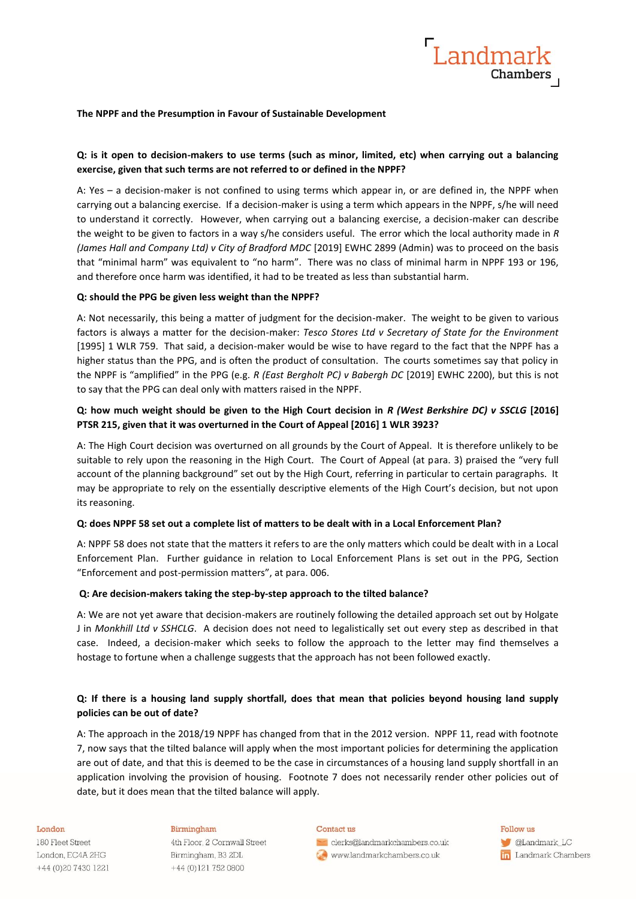

### **The NPPF and the Presumption in Favour of Sustainable Development**

## **Q: is it open to decision-makers to use terms (such as minor, limited, etc) when carrying out a balancing exercise, given that such terms are not referred to or defined in the NPPF?**

A: Yes – a decision-maker is not confined to using terms which appear in, or are defined in, the NPPF when carrying out a balancing exercise. If a decision-maker is using a term which appears in the NPPF, s/he will need to understand it correctly. However, when carrying out a balancing exercise, a decision-maker can describe the weight to be given to factors in a way s/he considers useful. The error which the local authority made in *R (James Hall and Company Ltd) v City of Bradford MDC* [2019] EWHC 2899 (Admin) was to proceed on the basis that "minimal harm" was equivalent to "no harm". There was no class of minimal harm in NPPF 193 or 196, and therefore once harm was identified, it had to be treated as less than substantial harm.

## **Q: should the PPG be given less weight than the NPPF?**

A: Not necessarily, this being a matter of judgment for the decision-maker. The weight to be given to various factors is always a matter for the decision-maker: *Tesco Stores Ltd v Secretary of State for the Environment* [1995] 1 WLR 759. That said, a decision-maker would be wise to have regard to the fact that the NPPF has a higher status than the PPG, and is often the product of consultation. The courts sometimes say that policy in the NPPF is "amplified" in the PPG (e.g. *R (East Bergholt PC) v Babergh DC* [2019] EWHC 2200), but this is not to say that the PPG can deal only with matters raised in the NPPF.

## **Q: how much weight should be given to the High Court decision in** *R (West Berkshire DC) v SSCLG* **[2016] PTSR 215, given that it was overturned in the Court of Appeal [2016] 1 WLR 3923?**

A: The High Court decision was overturned on all grounds by the Court of Appeal. It is therefore unlikely to be suitable to rely upon the reasoning in the High Court. The Court of Appeal (at para. 3) praised the "very full account of the planning background" set out by the High Court, referring in particular to certain paragraphs. It may be appropriate to rely on the essentially descriptive elements of the High Court's decision, but not upon its reasoning.

### **Q: does NPPF 58 set out a complete list of matters to be dealt with in a Local Enforcement Plan?**

A: NPPF 58 does not state that the matters it refers to are the only matters which could be dealt with in a Local Enforcement Plan. Further guidance in relation to Local Enforcement Plans is set out in the PPG, Section "Enforcement and post-permission matters", at para. 006.

### **Q: Are decision-makers taking the step-by-step approach to the tilted balance?**

A: We are not yet aware that decision-makers are routinely following the detailed approach set out by Holgate J in *Monkhill Ltd v SSHCLG*. A decision does not need to legalistically set out every step as described in that case. Indeed, a decision-maker which seeks to follow the approach to the letter may find themselves a hostage to fortune when a challenge suggests that the approach has not been followed exactly.

## **Q: If there is a housing land supply shortfall, does that mean that policies beyond housing land supply policies can be out of date?**

A: The approach in the 2018/19 NPPF has changed from that in the 2012 version. NPPF 11, read with footnote 7, now says that the tilted balance will apply when the most important policies for determining the application are out of date, and that this is deemed to be the case in circumstances of a housing land supply shortfall in an application involving the provision of housing. Footnote 7 does not necessarily render other policies out of date, but it does mean that the tilted balance will apply.

#### London

180 Fleet Street London, EC4A 2HG +44 (0) 20 7430 1221

### Birmingham

4th Floor, 2 Cornwall Street Birmingham, B3 2DL +44 (0)121 752 0800

#### Contact us

clerks@landmarkchambers.co.uk www.landmarkchambers.co.uk

Follow us **C**Landmark\_LC in Landmark Chambers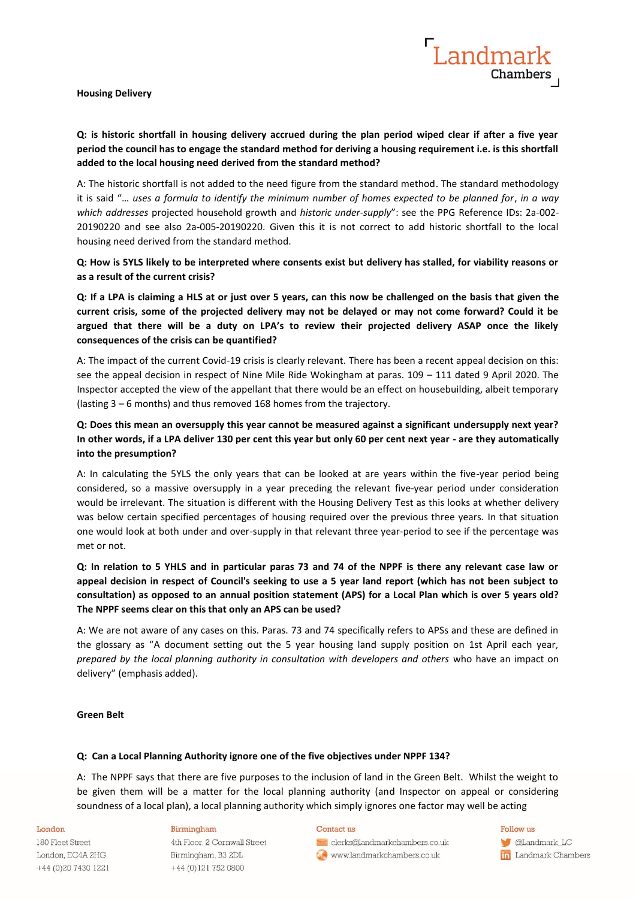**Housing Delivery**

# **Q: is historic shortfall in housing delivery accrued during the plan period wiped clear if after a five year period the council has to engage the standard method for deriving a housing requirement i.e. is this shortfall added to the local housing need derived from the standard method?**

A: The historic shortfall is not added to the need figure from the standard method. The standard methodology it is said "… *uses a formula to identify the minimum number of homes expected to be planned for*, *in a way which addresses* projected household growth and *historic under-supply*": see the PPG Reference IDs: 2a-002- 20190220 and see also 2a-005-20190220. Given this it is not correct to add historic shortfall to the local housing need derived from the standard method.

**Q: How is 5YLS likely to be interpreted where consents exist but delivery has stalled, for viability reasons or as a result of the current crisis?**

**Q: If a LPA is claiming a HLS at or just over 5 years, can this now be challenged on the basis that given the current crisis, some of the projected delivery may not be delayed or may not come forward? Could it be argued that there will be a duty on LPA's to review their projected delivery ASAP once the likely consequences of the crisis can be quantified?**

A: The impact of the current Covid-19 crisis is clearly relevant. There has been a recent appeal decision on this: see the appeal decision in respect of Nine Mile Ride Wokingham at paras. 109 – 111 dated 9 April 2020. The Inspector accepted the view of the appellant that there would be an effect on housebuilding, albeit temporary (lasting 3 – 6 months) and thus removed 168 homes from the trajectory.

# **Q: Does this mean an oversupply this year cannot be measured against a significant undersupply next year? In other words, if a LPA deliver 130 per cent this year but only 60 per cent next year - are they automatically into the presumption?**

A: In calculating the 5YLS the only years that can be looked at are years within the five-year period being considered, so a massive oversupply in a year preceding the relevant five-year period under consideration would be irrelevant. The situation is different with the Housing Delivery Test as this looks at whether delivery was below certain specified percentages of housing required over the previous three years. In that situation one would look at both under and over-supply in that relevant three year-period to see if the percentage was met or not.

# **Q: In relation to 5 YHLS and in particular paras 73 and 74 of the NPPF is there any relevant case law or appeal decision in respect of Council's seeking to use a 5 year land report (which has not been subject to consultation) as opposed to an annual position statement (APS) for a Local Plan which is over 5 years old? The NPPF seems clear on this that only an APS can be used?**

A: We are not aware of any cases on this. Paras. 73 and 74 specifically refers to APSs and these are defined in the glossary as "A document setting out the 5 year housing land supply position on 1st April each year, *prepared by the local planning authority in consultation with developers and others* who have an impact on delivery" (emphasis added).

### **Green Belt**

### **Q: Can a Local Planning Authority ignore one of the five objectives under NPPF 134?**

A: The NPPF says that there are five purposes to the inclusion of land in the Green Belt. Whilst the weight to be given them will be a matter for the local planning authority (and Inspector on appeal or considering soundness of a local plan), a local planning authority which simply ignores one factor may well be acting

#### London

180 Fleet Street London, EC4A 2HG +44 (0) 20 7430 1221

### Birmingham

4th Floor, 2 Cornwall Street Birmingham, B3 2DL +44 (0)121 752 0800

#### Contact us

clerks@landmarkchambers.co.uk www.landmarkchambers.co.uk

Follow us

**C**Landmark\_LC in Landmark Chambers